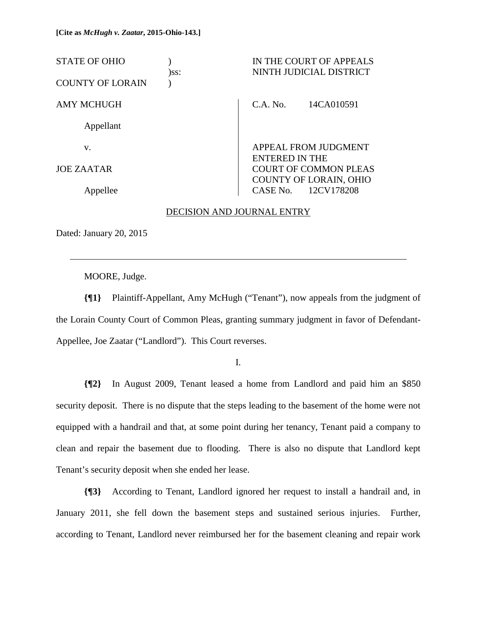| <b>STATE OF OHIO</b>    | IN THE COURT OF APPEALS<br>NINTH JUDICIAL DISTRICT<br>)ss: |                       |                                                      |
|-------------------------|------------------------------------------------------------|-----------------------|------------------------------------------------------|
| <b>COUNTY OF LORAIN</b> |                                                            |                       |                                                      |
| AMY MCHUGH              |                                                            | C.A. No.              | 14CA010591                                           |
| Appellant               |                                                            |                       |                                                      |
| V.                      |                                                            | <b>ENTERED IN THE</b> | <b>APPEAL FROM JUDGMENT</b>                          |
| <b>JOE ZAATAR</b>       |                                                            |                       | <b>COURT OF COMMON PLEAS</b>                         |
| Appellee                |                                                            |                       | <b>COUNTY OF LORAIN, OHIO</b><br>CASE No. 12CV178208 |

#### DECISION AND JOURNAL ENTRY

Dated: January 20, 2015

 $\overline{a}$ 

MOORE, Judge.

**{¶1}** Plaintiff-Appellant, Amy McHugh ("Tenant"), now appeals from the judgment of the Lorain County Court of Common Pleas, granting summary judgment in favor of Defendant-Appellee, Joe Zaatar ("Landlord"). This Court reverses.

I.

**{¶2}** In August 2009, Tenant leased a home from Landlord and paid him an \$850 security deposit. There is no dispute that the steps leading to the basement of the home were not equipped with a handrail and that, at some point during her tenancy, Tenant paid a company to clean and repair the basement due to flooding. There is also no dispute that Landlord kept Tenant's security deposit when she ended her lease.

**{¶3}** According to Tenant, Landlord ignored her request to install a handrail and, in January 2011, she fell down the basement steps and sustained serious injuries. Further, according to Tenant, Landlord never reimbursed her for the basement cleaning and repair work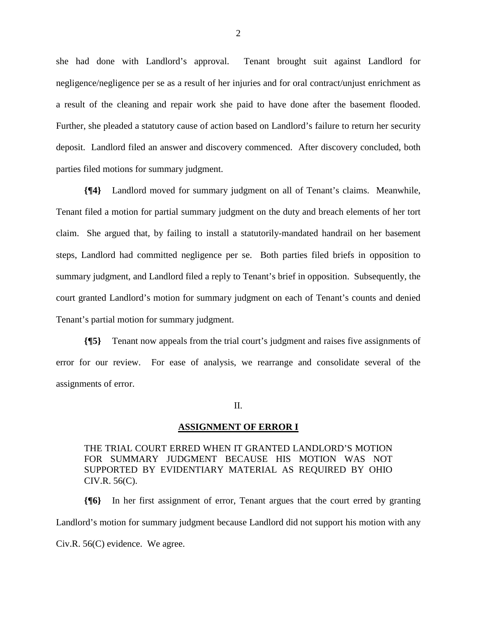she had done with Landlord's approval. Tenant brought suit against Landlord for negligence/negligence per se as a result of her injuries and for oral contract/unjust enrichment as a result of the cleaning and repair work she paid to have done after the basement flooded. Further, she pleaded a statutory cause of action based on Landlord's failure to return her security deposit. Landlord filed an answer and discovery commenced. After discovery concluded, both parties filed motions for summary judgment.

**{¶4}** Landlord moved for summary judgment on all of Tenant's claims. Meanwhile, Tenant filed a motion for partial summary judgment on the duty and breach elements of her tort claim. She argued that, by failing to install a statutorily-mandated handrail on her basement steps, Landlord had committed negligence per se. Both parties filed briefs in opposition to summary judgment, and Landlord filed a reply to Tenant's brief in opposition. Subsequently, the court granted Landlord's motion for summary judgment on each of Tenant's counts and denied Tenant's partial motion for summary judgment.

**{¶5}** Tenant now appeals from the trial court's judgment and raises five assignments of error for our review. For ease of analysis, we rearrange and consolidate several of the assignments of error.

II.

#### **ASSIGNMENT OF ERROR I**

THE TRIAL COURT ERRED WHEN IT GRANTED LANDLORD'S MOTION FOR SUMMARY JUDGMENT BECAUSE HIS MOTION WAS NOT SUPPORTED BY EVIDENTIARY MATERIAL AS REQUIRED BY OHIO CIV.R. 56(C).

**{¶6}** In her first assignment of error, Tenant argues that the court erred by granting Landlord's motion for summary judgment because Landlord did not support his motion with any Civ.R. 56(C) evidence. We agree.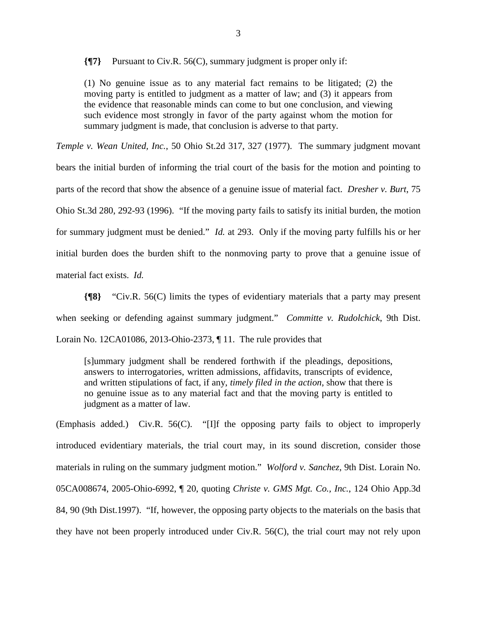**{¶7}** Pursuant to Civ.R. 56(C), summary judgment is proper only if:

(1) No genuine issue as to any material fact remains to be litigated; (2) the moving party is entitled to judgment as a matter of law; and (3) it appears from the evidence that reasonable minds can come to but one conclusion, and viewing such evidence most strongly in favor of the party against whom the motion for summary judgment is made, that conclusion is adverse to that party.

*Temple v. Wean United, Inc.*, 50 Ohio St.2d 317, 327 (1977). The summary judgment movant bears the initial burden of informing the trial court of the basis for the motion and pointing to parts of the record that show the absence of a genuine issue of material fact. *Dresher v. Burt*, 75 Ohio St.3d 280, 292-93 (1996). "If the moving party fails to satisfy its initial burden, the motion for summary judgment must be denied." *Id.* at 293. Only if the moving party fulfills his or her initial burden does the burden shift to the nonmoving party to prove that a genuine issue of material fact exists. *Id.* 

**{¶8}** "Civ.R. 56(C) limits the types of evidentiary materials that a party may present when seeking or defending against summary judgment." *Committe v. Rudolchick*, 9th Dist. Lorain No. 12CA01086, 2013-Ohio-2373, ¶ 11. The rule provides that

[s]ummary judgment shall be rendered forthwith if the pleadings, depositions, answers to interrogatories, written admissions, affidavits, transcripts of evidence, and written stipulations of fact, if any, *timely filed in the action*, show that there is no genuine issue as to any material fact and that the moving party is entitled to judgment as a matter of law.

(Emphasis added.) Civ.R. 56(C). "[I]f the opposing party fails to object to improperly introduced evidentiary materials, the trial court may, in its sound discretion, consider those materials in ruling on the summary judgment motion." *Wolford v. Sanchez*, 9th Dist. Lorain No. 05CA008674, 2005-Ohio-6992, ¶ 20, quoting *Christe v. GMS Mgt. Co., Inc.*, 124 Ohio App.3d 84, 90 (9th Dist.1997). "If, however, the opposing party objects to the materials on the basis that they have not been properly introduced under Civ.R. 56(C), the trial court may not rely upon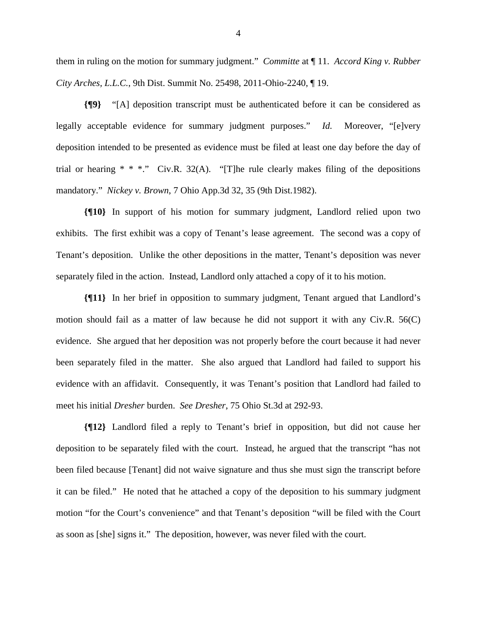them in ruling on the motion for summary judgment." *Committe* at ¶ 11. *Accord King v. Rubber City Arches, L.L.C.*, 9th Dist. Summit No. 25498, 2011-Ohio-2240, ¶ 19.

**{¶9}** "[A] deposition transcript must be authenticated before it can be considered as legally acceptable evidence for summary judgment purposes." *Id.* Moreover, "[e]very deposition intended to be presented as evidence must be filed at least one day before the day of trial or hearing \* \* \*." Civ.R. 32(A). "[T]he rule clearly makes filing of the depositions mandatory." *Nickey v. Brown*, 7 Ohio App.3d 32, 35 (9th Dist.1982).

**{¶10}** In support of his motion for summary judgment, Landlord relied upon two exhibits. The first exhibit was a copy of Tenant's lease agreement. The second was a copy of Tenant's deposition. Unlike the other depositions in the matter, Tenant's deposition was never separately filed in the action. Instead, Landlord only attached a copy of it to his motion.

**{¶11}** In her brief in opposition to summary judgment, Tenant argued that Landlord's motion should fail as a matter of law because he did not support it with any Civ.R. 56(C) evidence. She argued that her deposition was not properly before the court because it had never been separately filed in the matter. She also argued that Landlord had failed to support his evidence with an affidavit. Consequently, it was Tenant's position that Landlord had failed to meet his initial *Dresher* burden. *See Dresher*, 75 Ohio St.3d at 292-93.

**{¶12}** Landlord filed a reply to Tenant's brief in opposition, but did not cause her deposition to be separately filed with the court. Instead, he argued that the transcript "has not been filed because [Tenant] did not waive signature and thus she must sign the transcript before it can be filed." He noted that he attached a copy of the deposition to his summary judgment motion "for the Court's convenience" and that Tenant's deposition "will be filed with the Court as soon as [she] signs it." The deposition, however, was never filed with the court.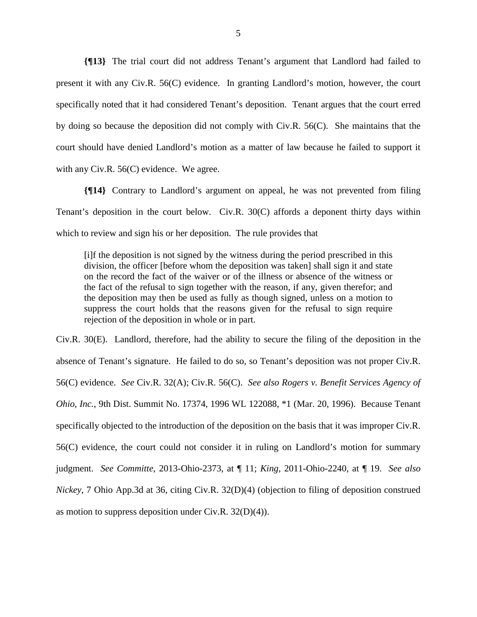**{¶13}** The trial court did not address Tenant's argument that Landlord had failed to present it with any Civ.R. 56(C) evidence. In granting Landlord's motion, however, the court specifically noted that it had considered Tenant's deposition. Tenant argues that the court erred by doing so because the deposition did not comply with Civ.R. 56(C). She maintains that the court should have denied Landlord's motion as a matter of law because he failed to support it with any Civ.R. 56(C) evidence. We agree.

**{¶14}** Contrary to Landlord's argument on appeal, he was not prevented from filing Tenant's deposition in the court below. Civ.R. 30(C) affords a deponent thirty days within which to review and sign his or her deposition. The rule provides that

[i]f the deposition is not signed by the witness during the period prescribed in this division, the officer [before whom the deposition was taken] shall sign it and state on the record the fact of the waiver or of the illness or absence of the witness or the fact of the refusal to sign together with the reason, if any, given therefor; and the deposition may then be used as fully as though signed, unless on a motion to suppress the court holds that the reasons given for the refusal to sign require rejection of the deposition in whole or in part.

Civ.R. 30(E). Landlord, therefore, had the ability to secure the filing of the deposition in the absence of Tenant's signature. He failed to do so, so Tenant's deposition was not proper Civ.R. 56(C) evidence. *See* Civ.R. 32(A); Civ.R. 56(C). *See also Rogers v. Benefit Services Agency of Ohio, Inc.*, 9th Dist. Summit No. 17374, 1996 WL 122088, \*1 (Mar. 20, 1996). Because Tenant specifically objected to the introduction of the deposition on the basis that it was improper Civ.R. 56(C) evidence, the court could not consider it in ruling on Landlord's motion for summary judgment. *See Committe*, 2013-Ohio-2373, at ¶ 11; *King*, 2011-Ohio-2240, at ¶ 19. *See also Nickey*, 7 Ohio App.3d at 36, citing Civ.R. 32(D)(4) (objection to filing of deposition construed as motion to suppress deposition under Civ.R. 32(D)(4)).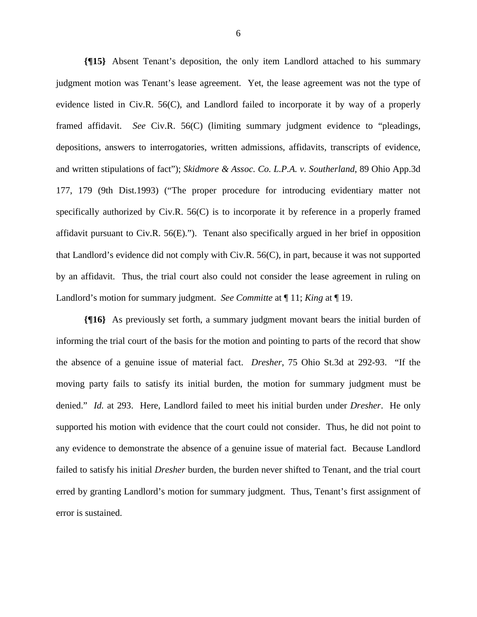**{¶15}** Absent Tenant's deposition, the only item Landlord attached to his summary judgment motion was Tenant's lease agreement. Yet, the lease agreement was not the type of evidence listed in Civ.R. 56(C), and Landlord failed to incorporate it by way of a properly framed affidavit. *See* Civ.R. 56(C) (limiting summary judgment evidence to "pleadings, depositions, answers to interrogatories, written admissions, affidavits, transcripts of evidence, and written stipulations of fact"); *Skidmore & Assoc. Co. L.P.A. v. Southerland*, 89 Ohio App.3d 177, 179 (9th Dist.1993) ("The proper procedure for introducing evidentiary matter not specifically authorized by Civ.R. 56(C) is to incorporate it by reference in a properly framed affidavit pursuant to Civ.R. 56(E)."). Tenant also specifically argued in her brief in opposition that Landlord's evidence did not comply with Civ.R. 56(C), in part, because it was not supported by an affidavit. Thus, the trial court also could not consider the lease agreement in ruling on Landlord's motion for summary judgment. *See Committe* at ¶ 11; *King* at ¶ 19.

**{¶16}** As previously set forth, a summary judgment movant bears the initial burden of informing the trial court of the basis for the motion and pointing to parts of the record that show the absence of a genuine issue of material fact. *Dresher*, 75 Ohio St.3d at 292-93. "If the moving party fails to satisfy its initial burden, the motion for summary judgment must be denied." *Id.* at 293. Here, Landlord failed to meet his initial burden under *Dresher*. He only supported his motion with evidence that the court could not consider. Thus, he did not point to any evidence to demonstrate the absence of a genuine issue of material fact. Because Landlord failed to satisfy his initial *Dresher* burden, the burden never shifted to Tenant, and the trial court erred by granting Landlord's motion for summary judgment. Thus, Tenant's first assignment of error is sustained.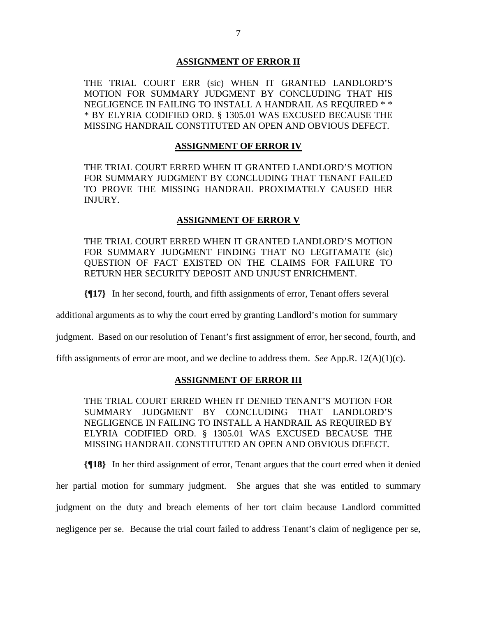### **ASSIGNMENT OF ERROR II**

THE TRIAL COURT ERR (sic) WHEN IT GRANTED LANDLORD'S MOTION FOR SUMMARY JUDGMENT BY CONCLUDING THAT HIS NEGLIGENCE IN FAILING TO INSTALL A HANDRAIL AS REQUIRED \* \* \* BY ELYRIA CODIFIED ORD. § 1305.01 WAS EXCUSED BECAUSE THE MISSING HANDRAIL CONSTITUTED AN OPEN AND OBVIOUS DEFECT.

## **ASSIGNMENT OF ERROR IV**

THE TRIAL COURT ERRED WHEN IT GRANTED LANDLORD'S MOTION FOR SUMMARY JUDGMENT BY CONCLUDING THAT TENANT FAILED TO PROVE THE MISSING HANDRAIL PROXIMATELY CAUSED HER INJURY.

## **ASSIGNMENT OF ERROR V**

THE TRIAL COURT ERRED WHEN IT GRANTED LANDLORD'S MOTION FOR SUMMARY JUDGMENT FINDING THAT NO LEGITAMATE (sic) QUESTION OF FACT EXISTED ON THE CLAIMS FOR FAILURE TO RETURN HER SECURITY DEPOSIT AND UNJUST ENRICHMENT.

**{¶17}** In her second, fourth, and fifth assignments of error, Tenant offers several

additional arguments as to why the court erred by granting Landlord's motion for summary

judgment. Based on our resolution of Tenant's first assignment of error, her second, fourth, and

fifth assignments of error are moot, and we decline to address them. *See* App.R. 12(A)(1)(c).

# **ASSIGNMENT OF ERROR III**

THE TRIAL COURT ERRED WHEN IT DENIED TENANT'S MOTION FOR SUMMARY JUDGMENT BY CONCLUDING THAT LANDLORD'S NEGLIGENCE IN FAILING TO INSTALL A HANDRAIL AS REQUIRED BY ELYRIA CODIFIED ORD. § 1305.01 WAS EXCUSED BECAUSE THE MISSING HANDRAIL CONSTITUTED AN OPEN AND OBVIOUS DEFECT.

**{¶18}** In her third assignment of error, Tenant argues that the court erred when it denied

her partial motion for summary judgment. She argues that she was entitled to summary judgment on the duty and breach elements of her tort claim because Landlord committed negligence per se. Because the trial court failed to address Tenant's claim of negligence per se,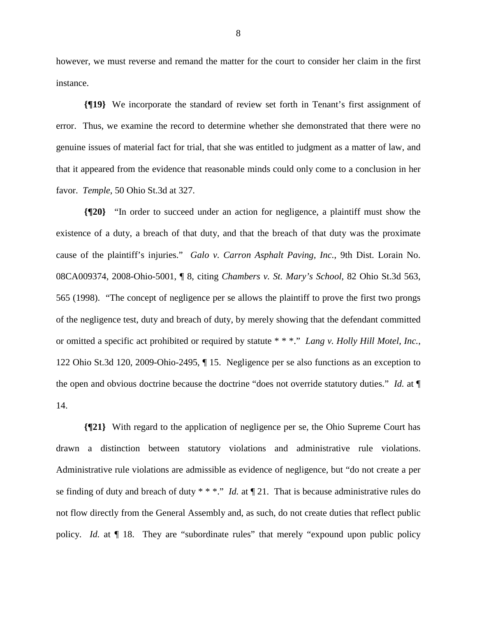however, we must reverse and remand the matter for the court to consider her claim in the first instance.

**{¶19}** We incorporate the standard of review set forth in Tenant's first assignment of error. Thus, we examine the record to determine whether she demonstrated that there were no genuine issues of material fact for trial, that she was entitled to judgment as a matter of law, and that it appeared from the evidence that reasonable minds could only come to a conclusion in her favor. *Temple*, 50 Ohio St.3d at 327.

**{¶20}** "In order to succeed under an action for negligence, a plaintiff must show the existence of a duty, a breach of that duty, and that the breach of that duty was the proximate cause of the plaintiff's injuries." *Galo v. Carron Asphalt Paving, Inc.*, 9th Dist. Lorain No. 08CA009374, 2008-Ohio-5001, ¶ 8, citing *Chambers v. St. Mary's School*, 82 Ohio St.3d 563, 565 (1998). "The concept of negligence per se allows the plaintiff to prove the first two prongs of the negligence test, duty and breach of duty, by merely showing that the defendant committed or omitted a specific act prohibited or required by statute \* \* \*." *Lang v. Holly Hill Motel, Inc.*, 122 Ohio St.3d 120, 2009-Ohio-2495, ¶ 15. Negligence per se also functions as an exception to the open and obvious doctrine because the doctrine "does not override statutory duties." *Id.* at ¶ 14.

**{¶21}** With regard to the application of negligence per se, the Ohio Supreme Court has drawn a distinction between statutory violations and administrative rule violations. Administrative rule violations are admissible as evidence of negligence, but "do not create a per se finding of duty and breach of duty \* \* \*." *Id.* at ¶ 21. That is because administrative rules do not flow directly from the General Assembly and, as such, do not create duties that reflect public policy. *Id.* at  $\P$  18. They are "subordinate rules" that merely "expound upon public policy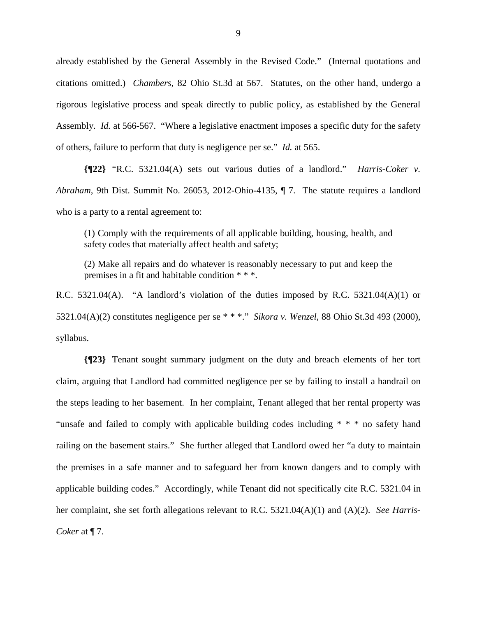already established by the General Assembly in the Revised Code." (Internal quotations and citations omitted.) *Chambers*, 82 Ohio St.3d at 567. Statutes, on the other hand, undergo a rigorous legislative process and speak directly to public policy, as established by the General Assembly. *Id.* at 566-567. "Where a legislative enactment imposes a specific duty for the safety of others, failure to perform that duty is negligence per se." *Id.* at 565.

**{¶22}** "R.C. 5321.04(A) sets out various duties of a landlord." *Harris-Coker v. Abraham*, 9th Dist. Summit No. 26053, 2012-Ohio-4135, ¶ 7. The statute requires a landlord who is a party to a rental agreement to:

(1) Comply with the requirements of all applicable building, housing, health, and safety codes that materially affect health and safety;

(2) Make all repairs and do whatever is reasonably necessary to put and keep the premises in a fit and habitable condition \* \* \*.

R.C. 5321.04(A). "A landlord's violation of the duties imposed by R.C. 5321.04(A)(1) or 5321.04(A)(2) constitutes negligence per se \* \* \*." *Sikora v. Wenzel*, 88 Ohio St.3d 493 (2000), syllabus.

**{¶23}** Tenant sought summary judgment on the duty and breach elements of her tort claim, arguing that Landlord had committed negligence per se by failing to install a handrail on the steps leading to her basement. In her complaint, Tenant alleged that her rental property was "unsafe and failed to comply with applicable building codes including \* \* \* no safety hand railing on the basement stairs." She further alleged that Landlord owed her "a duty to maintain the premises in a safe manner and to safeguard her from known dangers and to comply with applicable building codes." Accordingly, while Tenant did not specifically cite R.C. 5321.04 in her complaint, she set forth allegations relevant to R.C. 5321.04(A)(1) and (A)(2). *See Harris-Coker* at ¶ 7.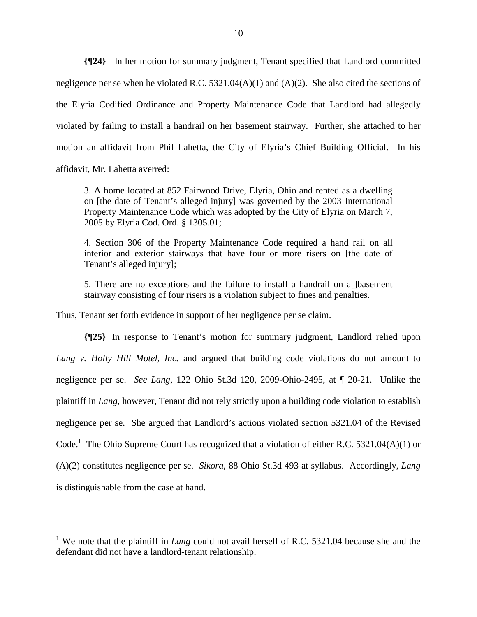**{¶24}** In her motion for summary judgment, Tenant specified that Landlord committed negligence per se when he violated R.C. 5321.04(A)(1) and (A)(2). She also cited the sections of the Elyria Codified Ordinance and Property Maintenance Code that Landlord had allegedly violated by failing to install a handrail on her basement stairway. Further, she attached to her motion an affidavit from Phil Lahetta, the City of Elyria's Chief Building Official. In his affidavit, Mr. Lahetta averred:

3. A home located at 852 Fairwood Drive, Elyria, Ohio and rented as a dwelling on [the date of Tenant's alleged injury] was governed by the 2003 International Property Maintenance Code which was adopted by the City of Elyria on March 7, 2005 by Elyria Cod. Ord. § 1305.01;

4. Section 306 of the Property Maintenance Code required a hand rail on all interior and exterior stairways that have four or more risers on [the date of Tenant's alleged injury];

5. There are no exceptions and the failure to install a handrail on a[]basement stairway consisting of four risers is a violation subject to fines and penalties.

Thus, Tenant set forth evidence in support of her negligence per se claim.

 $\overline{a}$ 

**{¶25}** In response to Tenant's motion for summary judgment, Landlord relied upon *Lang v. Holly Hill Motel, Inc.* and argued that building code violations do not amount to negligence per se. *See Lang*, 122 Ohio St.3d 120, 2009-Ohio-2495, at ¶ 20-21. Unlike the plaintiff in *Lang*, however, Tenant did not rely strictly upon a building code violation to establish negligence per se. She argued that Landlord's actions violated section 5321.04 of the Revised Code.<sup>1</sup> The Ohio Supreme Court has recognized that a violation of either R.C. 5321.04(A)(1) or (A)(2) constitutes negligence per se. *Sikora*, 88 Ohio St.3d 493 at syllabus. Accordingly, *Lang* is distinguishable from the case at hand.

<sup>&</sup>lt;sup>1</sup> We note that the plaintiff in *Lang* could not avail herself of R.C. 5321.04 because she and the defendant did not have a landlord-tenant relationship.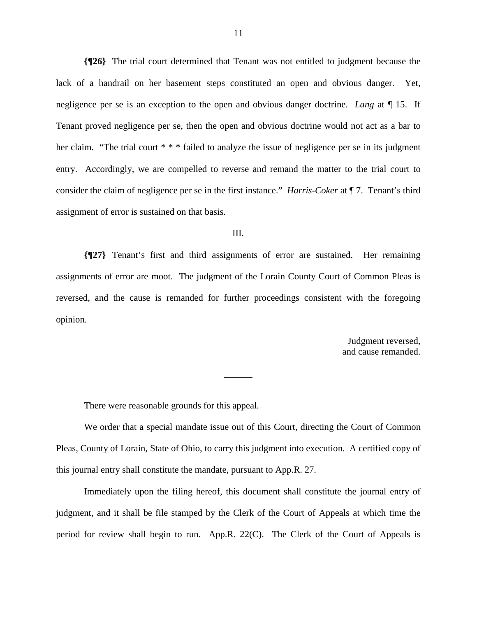**{¶26}** The trial court determined that Tenant was not entitled to judgment because the lack of a handrail on her basement steps constituted an open and obvious danger. Yet, negligence per se is an exception to the open and obvious danger doctrine. *Lang* at ¶ 15. If Tenant proved negligence per se, then the open and obvious doctrine would not act as a bar to her claim. "The trial court \* \* \* failed to analyze the issue of negligence per se in its judgment entry. Accordingly, we are compelled to reverse and remand the matter to the trial court to consider the claim of negligence per se in the first instance." *Harris-Coker* at ¶ 7. Tenant's third assignment of error is sustained on that basis.

#### III.

**{¶27}** Tenant's first and third assignments of error are sustained. Her remaining assignments of error are moot. The judgment of the Lorain County Court of Common Pleas is reversed, and the cause is remanded for further proceedings consistent with the foregoing opinion.

> Judgment reversed, and cause remanded.

There were reasonable grounds for this appeal.

 We order that a special mandate issue out of this Court, directing the Court of Common Pleas, County of Lorain, State of Ohio, to carry this judgment into execution. A certified copy of this journal entry shall constitute the mandate, pursuant to App.R. 27.

 Immediately upon the filing hereof, this document shall constitute the journal entry of judgment, and it shall be file stamped by the Clerk of the Court of Appeals at which time the period for review shall begin to run. App.R. 22(C). The Clerk of the Court of Appeals is